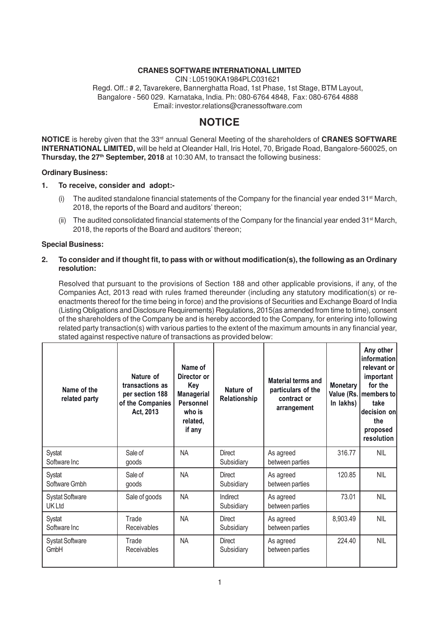#### **CRANES SOFTWARE INTERNATIONAL LIMITED**

CIN : L05190KA1984PLC031621

Regd. Off.: # 2, Tavarekere, Bannerghatta Road, 1st Phase, 1st Stage, BTM Layout, Bangalore - 560 029. Karnataka, India. Ph: 080-6764 4848, Fax: 080-6764 4888 Email: investor.relations@cranessoftware.com

### **NOTICE**

**NOTICE** is hereby given that the 33rd annual General Meeting of the shareholders of **CRANES SOFTWARE INTERNATIONAL LIMITED,** will be held at Oleander Hall, Iris Hotel, 70, Brigade Road, Bangalore-560025, on **Thursday, the 27th September, 2018** at 10:30 AM, to transact the following business:

#### **Ordinary Business:**

#### **1. To receive, consider and adopt:-**

- (i) The audited standalone financial statements of the Company for the financial year ended  $31<sup>st</sup>$  March, 2018, the reports of the Board and auditors' thereon;
- (ii) The audited consolidated financial statements of the Company for the financial year ended 31st March, 2018, the reports of the Board and auditors' thereon;

#### **Special Business:**

#### **2. To consider and if thought fit, to pass with or without modification(s), the following as an Ordinary resolution:**

Resolved that pursuant to the provisions of Section 188 and other applicable provisions, if any, of the Companies Act, 2013 read with rules framed thereunder (including any statutory modification(s) or reenactments thereof for the time being in force) and the provisions of Securities and Exchange Board of India (Listing Obligations and Disclosure Requirements) Regulations, 2015(as amended from time to time), consent of the shareholders of the Company be and is hereby accorded to the Company, for entering into following related party transaction(s) with various parties to the extent of the maximum amounts in any financial year, stated against respective nature of transactions as provided below:

| Name of the<br>related party            | Nature of<br>transactions as<br>per section 188<br>of the Companies<br>Act, 2013 | Name of<br>Director or<br>Key<br><b>Managerial</b><br>Personnel<br>who is<br>related,<br>if any | Nature of<br>Relationship   | <b>Material terms and</b><br>particulars of the<br>contract or<br>arrangement | <b>Monetary</b><br>In lakhs) | Any other<br>information<br>relevant or<br>important<br>for the<br>Value (Rs.   members to<br>take<br>decision on<br>the<br>proposed<br>resolution |
|-----------------------------------------|----------------------------------------------------------------------------------|-------------------------------------------------------------------------------------------------|-----------------------------|-------------------------------------------------------------------------------|------------------------------|----------------------------------------------------------------------------------------------------------------------------------------------------|
| Systat<br>Software Inc                  | Sale of<br>goods                                                                 | <b>NA</b>                                                                                       | Direct<br>Subsidiary        | As agreed<br>between parties                                                  | 316.77                       | NIL                                                                                                                                                |
| Systat<br>Software Gmbh                 | Sale of<br>goods                                                                 | <b>NA</b>                                                                                       | Direct<br>Subsidiary        | As agreed<br>between parties                                                  | 120.85                       | <b>NIL</b>                                                                                                                                         |
| <b>Systat Software</b><br><b>UK Ltd</b> | Sale of goods                                                                    | <b>NA</b>                                                                                       | Indirect<br>Subsidiary      | As agreed<br>between parties                                                  | 73.01                        | <b>NIL</b>                                                                                                                                         |
| Systat<br>Software Inc                  | Trade<br>Receivables                                                             | <b>NA</b>                                                                                       | <b>Direct</b><br>Subsidiary | As agreed<br>between parties                                                  | 8,903.49                     | <b>NIL</b>                                                                                                                                         |
| <b>Systat Software</b><br>GmbH          | Trade<br><b>Receivables</b>                                                      | <b>NA</b>                                                                                       | Direct<br>Subsidiary        | As agreed<br>between parties                                                  | 224.40                       | <b>NIL</b>                                                                                                                                         |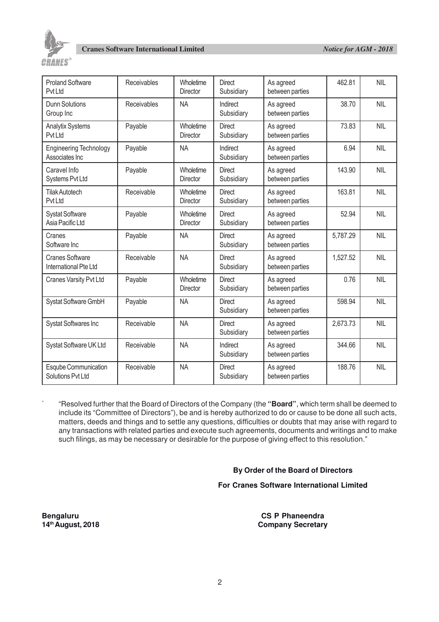

| <b>Proland Software</b><br>Pvt Ltd              | Receivables | Wholetime<br><b>Director</b> | <b>Direct</b><br>Subsidiary | As agreed<br>between parties | 462.81   | <b>NIL</b> |
|-------------------------------------------------|-------------|------------------------------|-----------------------------|------------------------------|----------|------------|
| <b>Dunn Solutions</b><br>Group Inc              | Receivables | <b>NA</b>                    | Indirect<br>Subsidiary      | As agreed<br>between parties | 38.70    | <b>NIL</b> |
| <b>Analytix Systems</b><br>Pvt Ltd              | Payable     | Wholetime<br>Director        | <b>Direct</b><br>Subsidiary | As agreed<br>between parties | 73.83    | <b>NIL</b> |
| <b>Engineering Technology</b><br>Associates Inc | Payable     | <b>NA</b>                    | Indirect<br>Subsidiary      | As agreed<br>between parties | 6.94     | <b>NIL</b> |
| Caravel Info<br>Systems Pvt Ltd                 | Payable     | Wholetime<br>Director        | <b>Direct</b><br>Subsidiary | As agreed<br>between parties | 143.90   | <b>NIL</b> |
| <b>Tilak Autotech</b><br>Pvt Ltd                | Receivable  | Wholetime<br>Director        | <b>Direct</b><br>Subsidiary | As agreed<br>between parties | 163.81   | <b>NIL</b> |
| <b>Systat Software</b><br>Asia Pacific Ltd      | Payable     | Wholetime<br><b>Director</b> | <b>Direct</b><br>Subsidiary | As agreed<br>between parties | 52.94    | <b>NIL</b> |
| Cranes<br>Software Inc                          | Payable     | <b>NA</b>                    | <b>Direct</b><br>Subsidiary | As agreed<br>between parties | 5,787.29 | <b>NIL</b> |
| <b>Cranes Software</b><br>International Pte Ltd | Receivable  | <b>NA</b>                    | <b>Direct</b><br>Subsidiary | As agreed<br>between parties | 1,527.52 | <b>NIL</b> |
| Cranes Varsity Pvt Ltd                          | Payable     | Wholetime<br><b>Director</b> | <b>Direct</b><br>Subsidiary | As agreed<br>between parties | 0.76     | <b>NIL</b> |
| Systat Software GmbH                            | Payable     | <b>NA</b>                    | <b>Direct</b><br>Subsidiary | As agreed<br>between parties | 598.94   | <b>NIL</b> |
| <b>Systat Softwares Inc</b>                     | Receivable  | <b>NA</b>                    | <b>Direct</b><br>Subsidiary | As agreed<br>between parties | 2,673.73 | <b>NIL</b> |
| Systat Software UK Ltd                          | Receivable  | <b>NA</b>                    | Indirect<br>Subsidiary      | As agreed<br>between parties | 344.66   | <b>NIL</b> |
| Esqube Communication<br>Solutions Pvt Ltd       | Receivable  | <b>NA</b>                    | <b>Direct</b><br>Subsidiary | As agreed<br>between parties | 188.76   | <b>NIL</b> |

` "Resolved further that the Board of Directors of the Company (the **"Board"**, which term shall be deemed to include its "Committee of Directors"), be and is hereby authorized to do or cause to be done all such acts, matters, deeds and things and to settle any questions, difficulties or doubts that may arise with regard to any transactions with related parties and execute such agreements, documents and writings and to make such filings, as may be necessary or desirable for the purpose of giving effect to this resolution."

#### **By Order of the Board of Directors**

#### **For Cranes Software International Limited**

**Bengaluru CS P Phaneendra 14th August, 2018 Company Secretary**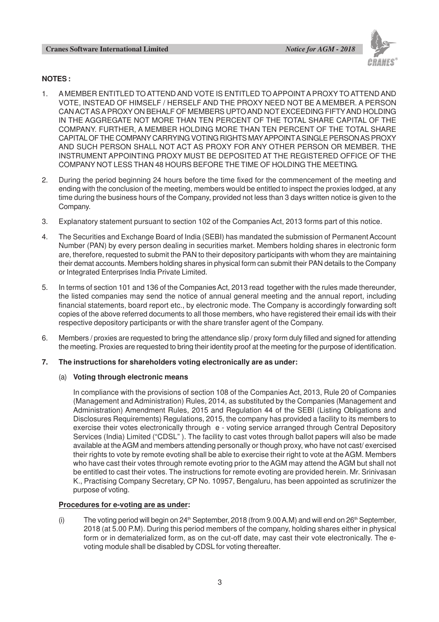#### **Cranes Software International Limited** *Notice for AGM - 2018*



#### **NOTES :**

- 1. A MEMBER ENTITLED TO ATTEND AND VOTE IS ENTITLED TO APPOINT A PROXY TO ATTEND AND VOTE, INSTEAD OF HIMSELF / HERSELF AND THE PROXY NEED NOT BE A MEMBER. A PERSON CAN ACTAS A PROXY ON BEHALF OF MEMBERS UPTO AND NOT EXCEEDING FIFTYAND HOLDING IN THE AGGREGATE NOT MORE THAN TEN PERCENT OF THE TOTAL SHARE CAPITAL OF THE COMPANY. FURTHER, A MEMBER HOLDING MORE THAN TEN PERCENT OF THE TOTAL SHARE CAPITAL OF THE COMPANY CARRYING VOTING RIGHTS MAY APPOINT A SINGLE PERSON AS PROXY AND SUCH PERSON SHALL NOT ACT AS PROXY FOR ANY OTHER PERSON OR MEMBER. THE INSTRUMENT APPOINTING PROXY MUST BE DEPOSITED AT THE REGISTERED OFFICE OF THE COMPANY NOT LESS THAN 48 HOURS BEFORE THE TIME OF HOLDING THE MEETING.
- 2. During the period beginning 24 hours before the time fixed for the commencement of the meeting and ending with the conclusion of the meeting, members would be entitled to inspect the proxies lodged, at any time during the business hours of the Company, provided not less than 3 days written notice is given to the Company.
- 3. Explanatory statement pursuant to section 102 of the Companies Act, 2013 forms part of this notice.
- 4. The Securities and Exchange Board of India (SEBI) has mandated the submission of Permanent Account Number (PAN) by every person dealing in securities market. Members holding shares in electronic form are, therefore, requested to submit the PAN to their depository participants with whom they are maintaining their demat accounts. Members holding shares in physical form can submit their PAN details to the Company or Integrated Enterprises India Private Limited.
- 5. In terms of section 101 and 136 of the Companies Act, 2013 read together with the rules made thereunder, the listed companies may send the notice of annual general meeting and the annual report, including financial statements, board report etc., by electronic mode. The Company is accordingly forwarding soft copies of the above referred documents to all those members, who have registered their email ids with their respective depository participants or with the share transfer agent of the Company.
- 6. Members / proxies are requested to bring the attendance slip / proxy form duly filled and signed for attending the meeting. Proxies are requested to bring their identity proof at the meeting for the purpose of identification.

#### **7. The instructions for shareholders voting electronically are as under:**

#### (a) **Voting through electronic means**

In compliance with the provisions of section 108 of the Companies Act, 2013, Rule 20 of Companies (Management and Administration) Rules, 2014, as substituted by the Companies (Management and Administration) Amendment Rules, 2015 and Regulation 44 of the SEBI (Listing Obligations and Disclosures Requirements) Regulations, 2015, the company has provided a facility to its members to exercise their votes electronically through e - voting service arranged through Central Depository Services (India) Limited ("CDSL" ). The facility to cast votes through ballot papers will also be made available at the AGM and members attending personally or though proxy, who have not cast/ exercised their rights to vote by remote evoting shall be able to exercise their right to vote at the AGM. Members who have cast their votes through remote evoting prior to the AGM may attend the AGM but shall not be entitled to cast their votes. The instructions for remote evoting are provided herein. Mr. Srinivasan K., Practising Company Secretary, CP No. 10957, Bengaluru, has been appointed as scrutinizer the purpose of voting.

#### **Procedures for e-voting are as under:**

(i) The voting period will begin on  $24<sup>th</sup>$  September, 2018 (from 9.00 A.M) and will end on  $26<sup>th</sup>$  September, 2018 (at 5.00 P.M). During this period members of the company, holding shares either in physical form or in dematerialized form, as on the cut-off date, may cast their vote electronically. The evoting module shall be disabled by CDSL for voting thereafter.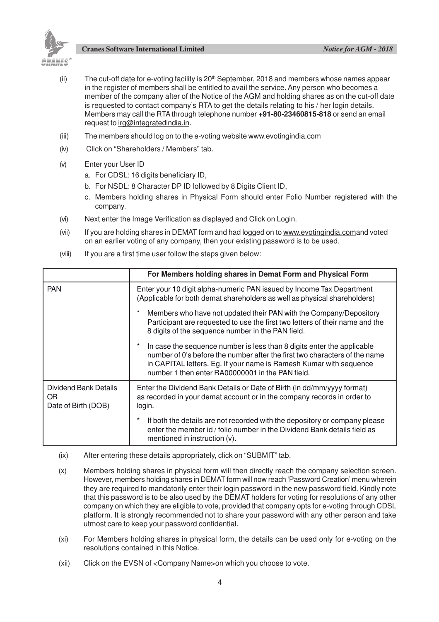

**Cranes Software International Limited** *Notice for AGM - 2018*

- (ii) The cut-off date for e-voting facility is  $20<sup>th</sup>$  September, 2018 and members whose names appear in the register of members shall be entitled to avail the service. Any person who becomes a member of the company after of the Notice of the AGM and holding shares as on the cut-off date is requested to contact company's RTA to get the details relating to his / her login details. Members may call the RTA through telephone number **+91-80-23460815-818** or send an email request to irg@integratedindia.in.
- (iii) The members should log on to the e-voting website www.evotingindia.com
- (iv) Click on "Shareholders / Members" tab.
- (v) Enter your User ID
	- a. For CDSL: 16 digits beneficiary ID,
	- b. For NSDL: 8 Character DP ID followed by 8 Digits Client ID,
	- c. Members holding shares in Physical Form should enter Folio Number registered with the company.
- (vi) Next enter the Image Verification as displayed and Click on Login.
- (vii) If you are holding shares in DEMAT form and had logged on to www.evotingindia.comand voted on an earlier voting of any company, then your existing password is to be used.
- (viii) If you are a first time user follow the steps given below:

|                                                     | For Members holding shares in Demat Form and Physical Form                                                                                                                                                                                                                     |  |
|-----------------------------------------------------|--------------------------------------------------------------------------------------------------------------------------------------------------------------------------------------------------------------------------------------------------------------------------------|--|
| <b>PAN</b>                                          | Enter your 10 digit alpha-numeric PAN issued by Income Tax Department<br>(Applicable for both demat shareholders as well as physical shareholders)                                                                                                                             |  |
|                                                     | Members who have not updated their PAN with the Company/Depository<br>Participant are requested to use the first two letters of their name and the<br>8 digits of the sequence number in the PAN field.                                                                        |  |
|                                                     | In case the sequence number is less than 8 digits enter the applicable<br>number of 0's before the number after the first two characters of the name<br>in CAPITAL letters. Eg. If your name is Ramesh Kumar with sequence<br>number 1 then enter RA00000001 in the PAN field. |  |
| Dividend Bank Details<br>OR.<br>Date of Birth (DOB) | Enter the Dividend Bank Details or Date of Birth (in dd/mm/yyyy format)<br>as recorded in your demat account or in the company records in order to<br>login.                                                                                                                   |  |
|                                                     | If both the details are not recorded with the depository or company please<br>enter the member id / folio number in the Dividend Bank details field as<br>mentioned in instruction (v).                                                                                        |  |

- (ix) After entering these details appropriately, click on "SUBMIT" tab.
- (x) Members holding shares in physical form will then directly reach the company selection screen. However, members holding shares in DEMAT form will now reach 'Password Creation' menu wherein they are required to mandatorily enter their login password in the new password field. Kindly note that this password is to be also used by the DEMAT holders for voting for resolutions of any other company on which they are eligible to vote, provided that company opts for e-voting through CDSL platform. It is strongly recommended not to share your password with any other person and take utmost care to keep your password confidential.
- (xi) For Members holding shares in physical form, the details can be used only for e-voting on the resolutions contained in this Notice.
- (xii) Click on the EVSN of <Company Name>on which you choose to vote.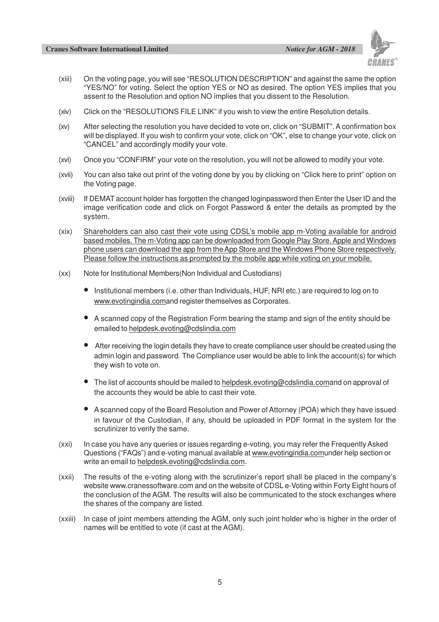

- (xiii) On the voting page, you will see "RESOLUTION DESCRIPTION" and against the same the option "YES/NO" for voting. Select the option YES or NO as desired. The option YES implies that you assent to the Resolution and option NO implies that you dissent to the Resolution.
- (xiv) Click on the "RESOLUTIONS FILE LINK" if you wish to view the entire Resolution details.
- (xv) After selecting the resolution you have decided to vote on, click on "SUBMIT". A confirmation box will be displayed. If you wish to confirm your vote, click on "OK", else to change your vote, click on "CANCEL" and accordingly modify your vote.
- (xvi) Once you "CONFIRM" your vote on the resolution, you will not be allowed to modify your vote.
- (xvii) You can also take out print of the voting done by you by clicking on "Click here to print" option on the Voting page.
- (xviii) If DEMAT account holder has forgotten the changed loginpassword then Enter the User ID and the image verification code and click on Forgot Password & enter the details as prompted by the system.
- (xix) Shareholders can also cast their vote using CDSL's mobile app m-Voting available for android based mobiles. The m-Voting app can be downloaded from Google Play Store. Apple and Windows phone users can download the app from the App Store and the Windows Phone Store respectively. Please follow the instructions as prompted by the mobile app while voting on your mobile.
- (xx) Note for Institutional Members(Non Individual and Custodians)
	- Institutional members (i.e. other than Individuals, HUF, NRI etc.) are required to log on to www.evotingindia.comand register themselves as Corporates.
	- A scanned copy of the Registration Form bearing the stamp and sign of the entity should be emailed to helpdesk.evoting@cdslindia.com
	- After receiving the login details they have to create compliance user should be created using the admin login and password. The Compliance user would be able to link the account(s) for which they wish to vote on.
	- The list of accounts should be mailed to helpdesk.evoting@cdslindia.comand on approval of the accounts they would be able to cast their vote.
	- A scanned copy of the Board Resolution and Power of Attorney (POA) which they have issued in favour of the Custodian, if any, should be uploaded in PDF format in the system for the scrutinizer to verify the same.
- (xxi) In case you have any queries or issues regarding e-voting, you may refer the Frequently Asked Questions ("FAQs") and e-voting manual available at www.evotingindia.comunder help section or write an email to helpdesk.evoting@cdslindia.com.
- (xxii) The results of the e-voting along with the scrutinizer's report shall be placed in the company's website www.cranessoftware.com and on the website of CDSL e-Voting within Forty Eight hours of the conclusion of the AGM. The results will also be communicated to the stock exchanges where the shares of the company are listed.
- (xxiii) In case of joint members attending the AGM, only such joint holder who is higher in the order of names will be entitled to vote (if cast at the AGM).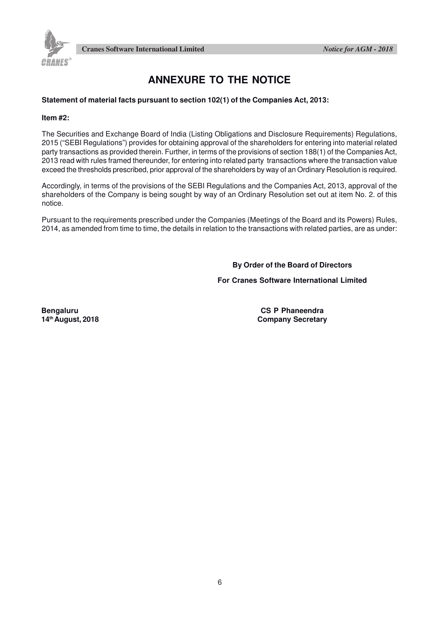



## **ANNEXURE TO THE NOTICE**

#### **Statement of material facts pursuant to section 102(1) of the Companies Act, 2013:**

#### **Item #2:**

The Securities and Exchange Board of India (Listing Obligations and Disclosure Requirements) Regulations, 2015 ("SEBI Regulations") provides for obtaining approval of the shareholders for entering into material related party transactions as provided therein. Further, in terms of the provisions of section 188(1) of the Companies Act, 2013 read with rules framed thereunder, for entering into related party transactions where the transaction value exceed the thresholds prescribed, prior approval of the shareholders by way of an Ordinary Resolution is required.

Accordingly, in terms of the provisions of the SEBI Regulations and the Companies Act, 2013, approval of the shareholders of the Company is being sought by way of an Ordinary Resolution set out at item No. 2. of this notice.

Pursuant to the requirements prescribed under the Companies (Meetings of the Board and its Powers) Rules, 2014, as amended from time to time, the details in relation to the transactions with related parties, are as under:

**By Order of the Board of Directors**

#### **For Cranes Software International Limited**

**Bengaluru CS P Phaneendra 14th August, 2018 Company Secretary**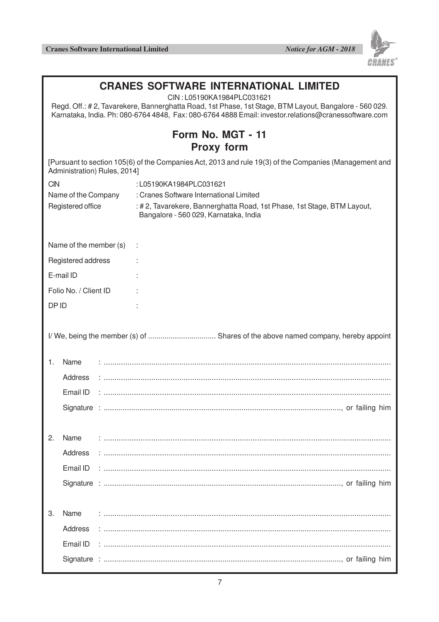

| <b>CRANES SOFTWARE INTERNATIONAL LIMITED</b><br>CIN: L05190KA1984PLC031621<br>Regd. Off.: #2, Tavarekere, Bannerghatta Road, 1st Phase, 1st Stage, BTM Layout, Bangalore - 560 029.<br>Karnataka, India. Ph: 080-6764 4848, Fax: 080-6764 4888 Email: investor.relations@cranessoftware.com |                        |                                                                                                                                        |  |  |
|---------------------------------------------------------------------------------------------------------------------------------------------------------------------------------------------------------------------------------------------------------------------------------------------|------------------------|----------------------------------------------------------------------------------------------------------------------------------------|--|--|
|                                                                                                                                                                                                                                                                                             |                        | Form No. MGT - 11<br><b>Proxy form</b>                                                                                                 |  |  |
|                                                                                                                                                                                                                                                                                             |                        | [Pursuant to section 105(6) of the Companies Act, 2013 and rule 19(3) of the Companies (Management and<br>Administration) Rules, 2014] |  |  |
| <b>CIN</b>                                                                                                                                                                                                                                                                                  |                        | :L05190KA1984PLC031621                                                                                                                 |  |  |
| Name of the Company                                                                                                                                                                                                                                                                         |                        | : Cranes Software International Limited                                                                                                |  |  |
|                                                                                                                                                                                                                                                                                             | Registered office      | : # 2, Tavarekere, Bannerghatta Road, 1st Phase, 1st Stage, BTM Layout,<br>Bangalore - 560 029, Karnataka, India                       |  |  |
|                                                                                                                                                                                                                                                                                             | Name of the member (s) |                                                                                                                                        |  |  |
|                                                                                                                                                                                                                                                                                             | Registered address     |                                                                                                                                        |  |  |
|                                                                                                                                                                                                                                                                                             | E-mail ID              |                                                                                                                                        |  |  |
|                                                                                                                                                                                                                                                                                             | Folio No. / Client ID  |                                                                                                                                        |  |  |
| DP ID                                                                                                                                                                                                                                                                                       |                        |                                                                                                                                        |  |  |
| 1.                                                                                                                                                                                                                                                                                          | Name<br>Address        |                                                                                                                                        |  |  |
|                                                                                                                                                                                                                                                                                             | Email ID               |                                                                                                                                        |  |  |
|                                                                                                                                                                                                                                                                                             |                        |                                                                                                                                        |  |  |
| 2.                                                                                                                                                                                                                                                                                          | Name                   |                                                                                                                                        |  |  |
|                                                                                                                                                                                                                                                                                             | Address                |                                                                                                                                        |  |  |
|                                                                                                                                                                                                                                                                                             |                        |                                                                                                                                        |  |  |
|                                                                                                                                                                                                                                                                                             |                        |                                                                                                                                        |  |  |
|                                                                                                                                                                                                                                                                                             |                        |                                                                                                                                        |  |  |
| 3.                                                                                                                                                                                                                                                                                          | Name                   |                                                                                                                                        |  |  |
|                                                                                                                                                                                                                                                                                             | Address                |                                                                                                                                        |  |  |
|                                                                                                                                                                                                                                                                                             | Email ID               |                                                                                                                                        |  |  |
|                                                                                                                                                                                                                                                                                             |                        |                                                                                                                                        |  |  |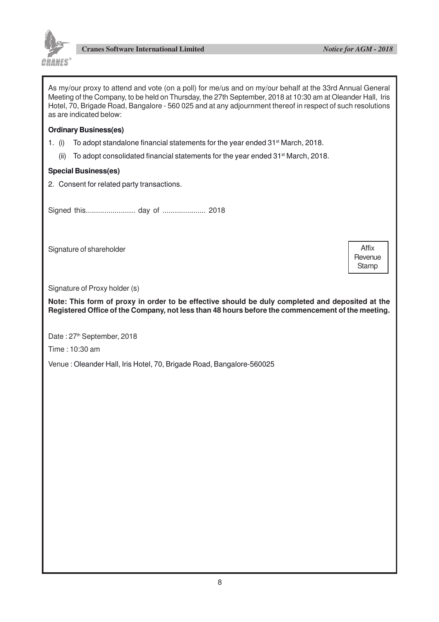

As my/our proxy to attend and vote (on a poll) for me/us and on my/our behalf at the 33rd Annual General Meeting of the Company, to be held on Thursday, the 27th September, 2018 at 10:30 am at Oleander Hall, Iris Hotel, 70, Brigade Road, Bangalore - 560 025 and at any adjournment thereof in respect of such resolutions as are indicated below:

#### **Ordinary Business(es)**

- 1. (i) To adopt standalone financial statements for the year ended  $31<sup>st</sup>$  March, 2018.
	- (ii) To adopt consolidated financial statements for the year ended 31st March, 2018.

#### **Special Business(es)**

2. Consent for related party transactions.

Signed this........................ day of ..................... 2018

Signature of shareholder

Affix **Revenue Stamp** 

Signature of Proxy holder (s)

**Note: This form of proxy in order to be effective should be duly completed and deposited at the Registered Office of the Company, not less than 48 hours before the commencement of the meeting.**

Date: 27<sup>th</sup> September, 2018

Time : 10:30 am

Venue : Oleander Hall, Iris Hotel, 70, Brigade Road, Bangalore-560025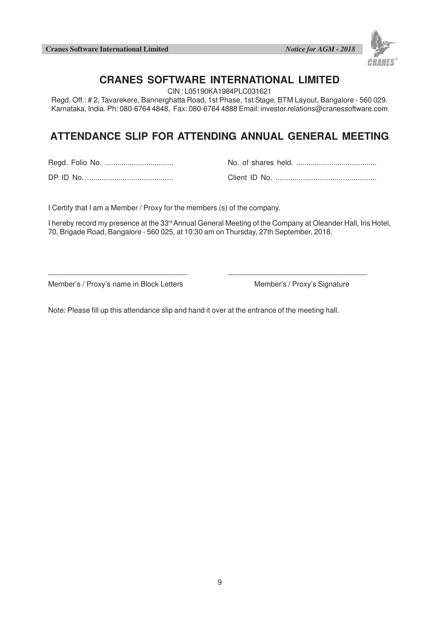**Cranes Software International Limited** *Notice for AGM - 2018*



## **CRANES SOFTWARE INTERNATIONAL LIMITED**

CIN : L05190KA1984PLC031621

Regd. Off.: # 2, Tavarekere, Bannerghatta Road, 1st Phase, 1st Stage, BTM Layout, Bangalore - 560 029. Karnataka, India. Ph: 080-6764 4848, Fax: 080-6764 4888 Email: investor.relations@cranessoftware.com

# **ATTENDANCE SLIP FOR ATTENDING ANNUAL GENERAL MEETING**

Regd. Folio No. ................................. No. of shares held. .......................................

DP ID No. ......................................... Client ID No. ................................................

I Certify that I am a Member / Proxy for the members (s) of the company.

I hereby record my presence at the 33<sup>rd</sup> Annual General Meeting of the Company at Oleander Hall, Iris Hotel, 70, Brigade Road, Bangalore - 560 025, at 10:30 am on Thursday, 27th September, 2018.

 $\Box$ 

Member's / Proxy's name in Block Letters Member's / Proxy's Signature

Note: Please fill up this attendance slip and hand it over at the entrance of the meeting hall.